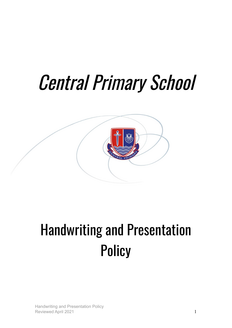# Central Primary School



# Handwriting and Presentation **Policy**

Handwriting and Presentation Policy Reviewed April 2021 1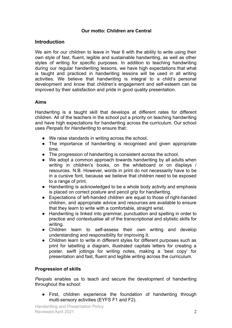# **Our motto: Children are Central**

# **Introduction**

We aim for our children to leave in Year 6 with the ability to write using their own style of fast, fluent, legible and sustainable handwriting, as well as other styles of writing for specific purposes. In addition to teaching handwriting during our regular handwriting lessons, we have high expectations that what is taught and practiced in handwriting lessons will be used in all writing activities. We believe that handwriting is integral to a child's personal development and know that children's engagement and self-esteem can be improved by their satisfaction and pride in good quality presentation.

# **Aims**

Handwriting is a taught skill that develops at different rates for different children. All of the teachers in the school put a priority on teaching handwriting and have high expectations for handwriting across the curriculum. Our school uses *Penpals for Handwriting* to ensure that:

- We raise standards in writing across the school.
- The importance of handwriting is recognised and given appropriate time.
- The progression of handwriting is consistent across the school.
- We adopt a common approach towards handwriting by all adults when writing in children's books, on the whiteboard or on displays / resources. N.B. However, words in print do not necessarily have to be in a cursive font, because we believe that children need to be exposed to a range of print.
- Handwriting is acknowledged to be a whole body activity and emphasis is placed on correct posture and pencil grip for handwriting.
- Expectations of left-handed children are equal to those of right-handed children, and appropriate advice and resources are available to ensure that they learn to write with a comfortable, straight wrist.
- Handwriting is linked into grammar, punctuation and spelling in order to practice and contextualise all of the transcriptional and stylistic skills for writing.
- Children learn to self-assess their own writing and develop understanding and responsibility for improving it.
- Children learn to write in different styles for different purposes such as print for labelling a diagram, illustrated capitals letters for creating a poster, swift jottings for writing notes, making a 'best copy' for presentation and fast, fluent and legible writing across the curriculum.

# **Progression of skills**

*Penpals* enables us to teach and secure the development of handwriting throughout the school:

● First, children experience the foundation of handwriting through multi-sensory activities (EYFS F1 and F2).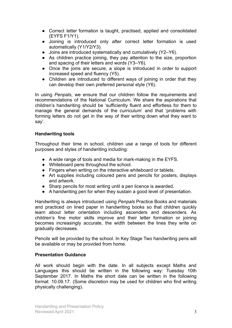- Correct letter formation is taught, practised, applied and consolidated (EYFS F1/Y1).
- Joining is introduced only after correct letter formation is used automatically (Y1/Y2/Y3).
- Joins are introduced systematically and cumulatively (Y2–Y6).
- As children practice joining, they pay attention to the size, proportion and spacing of their letters and words (Y3–Y6).
- Once the joins are secure, a slope is introduced in order to support increased speed and fluency (Y5).
- Children are introduced to different ways of joining in order that they can develop their own preferred personal style (Y6).

In using *Penpals*, we ensure that our children follow the requirements and recommendations of the National Curriculum. We share the aspirations that children's handwriting should be 'sufficiently fluent and effortless for them to manage the general demands of the curriculum' and that 'problems with forming letters do not get in the way of their writing down what they want to say'.

#### **Handwriting tools**

Throughout their time in school, children use a range of tools for different purposes and styles of handwriting including:

- A wide range of tools and media for mark-making in the EYFS.
- Whiteboard pens throughout the school.
- Fingers when writing on the interactive whiteboard or tablets.
- Art supplies including coloured pens and pencils for posters, displays and artwork.
- Sharp pencils for most writing until a pen licence is awarded.
- A handwriting pen for when they sustain a good level of presentation.

Handwriting is always introduced using *Penpals* Practice Books and materials and practiced on lined paper in handwriting books so that children quickly learn about letter orientation including ascenders and descenders. As children's fine motor skills improve and their letter formation or joining becomes increasingly accurate, the width between the lines they write on gradually decreases.

Pencils will be provided by the school. In Key Stage Two handwriting pens will be available or may be provided from home.

#### **Presentation Guidance**

All work should begin with the date. In all subjects except Maths and Languages this should be written in the following way: Tuesday 10th September 2017. In Maths the short date can be written in the following format: 10.09.17. (Some discretion may be used for children who find writing physically challenging).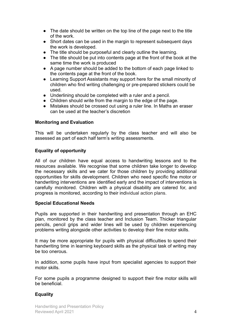- The date should be written on the top line of the page next to the title of the work.
- Short dates can be used in the margin to represent subsequent days the work is developed.
- The title should be purposeful and clearly outline the learning.
- The title should be put into contents page at the front of the book at the same time the work is produced
- A page number should be added to the bottom of each page linked to the contents page at the front of the book.
- Learning Support Assistants may support here for the small minority of children who find writing challenging or pre-prepared stickers could be used.
- Underlining should be completed with a ruler and a pencil.
- Children should write from the margin to the edge of the page.
- Mistakes should be crossed out using a ruler line. In Maths an eraser can be used at the teacher's discretion

# **Monitoring and Evaluation**

This will be undertaken regularly by the class teacher and will also be assessed as part of each half term's writing assessments.

# **Equality of opportunity**

All of our children have equal access to handwriting lessons and to the resources available. We recognise that some children take longer to develop the necessary skills and we cater for those children by providing additional opportunities for skills development. Children who need specific fine motor or handwriting interventions are identified early and the impact of interventions is carefully monitored. Children with a physical disability are catered for, and progress is monitored, according to their individual action plans.

# **Special Educational Needs**

Pupils are supported in their handwriting and presentation through an EHC plan, monitored by the class teacher and Inclusion Team. Thicker triangular pencils, pencil grips and wider lines will be used by children experiencing problems writing alongside other activities to develop their fine motor skills.

It may be more appropriate for pupils with physical difficulties to spend their handwriting time in learning keyboard skills as the physical task of writing may be too onerous.

In addition, some pupils have input from specialist agencies to support their motor skills.

For some pupils a programme designed to support their fine motor skills will be beneficial.

# **Equality**